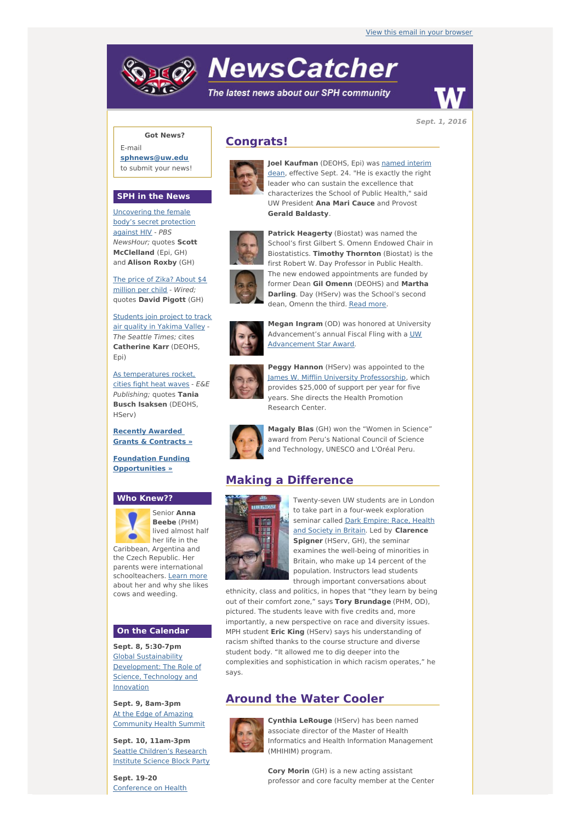# **NewsCatcher**

The latest news about our SPH community



**Sept. 1, 2016**

#### **Got News?**

E-mail **[sphnews@uw.edu](mailto:sphnews@uw.edu)** to submit your news!

#### **SPH in the News**

[Uncovering](http://engage.washington.edu/site/R?i=SrzXlX5UmN16la8xthbwHg) the female body's secret protection against HIV - PBS NewsHour; quotes **Scott McClelland** (Epi, GH) and **Alison Roxby** (GH)

The price of Zika? About \$4 [million](http://engage.washington.edu/site/R?i=UMJWjSl7IXa2wZB_CNtnAA) per child - Wired; quotes **David Pigott** (GH)

[Students](http://engage.washington.edu/site/R?i=HTlq2NlLE57d2PxUm-3PSw) join project to track air quality in Yakima Valley - The Seattle Times; cites **Catherine Karr** (DEOHS, Epi)

As [temperatures](http://engage.washington.edu/site/R?i=nFbb3QP3nAZ_kxJ44VhwWQ) rocket, cities fight heat waves - E&E Publishing; quotes **Tania Busch Isaksen** (DEOHS, HServ)

**Recently Awarded Grants & [Contracts](http://engage.washington.edu/site/R?i=QcR9c4kv1L74fTFftAmsFQ) »**

**Foundation Funding [Opportunities](http://engage.washington.edu/site/R?i=N_vDYa6Kf8tC22tn2QrfNA) »**

#### **Who Knew??**



Senior **Anna Beebe** (PHM) lived almost half her life in the

Caribbean, Argentina and the Czech Republic. Her parents were international schoolteachers. [Learn](http://engage.washington.edu/site/R?i=VG73tqy7JtVWgGkNhBnSxg) more about her and why she likes cows and weeding.

#### **On the Calendar**

**Sept. 8, 5:30-7pm** Global Sustainability [Development:](http://engage.washington.edu/site/R?i=hyw9WOJY2LNMBAVNPxhJ5w) The Role of Science, Technology and **Innovation** 

**Sept. 9, 8am-3pm** At the Edge of Amazing [Community](http://engage.washington.edu/site/R?i=tQkqN8oq0FMNRFja_bJPJA) Health Summit

**Sept. 10, 11am-3pm** Seattle [Children's](http://engage.washington.edu/site/R?i=7neJj5dhEE4U345utz8Vuw) Research Institute Science Block Party

**Sept. 19-20** Conference on Health

# **Congrats!**



**Joel [Kaufman](http://engage.washington.edu/site/R?i=LowHaSrnpABQznkk2YGaEA)** (DEOHS, Epi) was named interim dean, effective Sept. 24. "He is exactly the right leader who can sustain the excellence that characterizes the School of Public Health," said UW President **Ana Mari Cauce** and Provost **Gerald Baldasty**.



**Patrick Heagerty** (Biostat) was named the School's first Gilbert S. Omenn Endowed Chair in Biostatistics. **Timothy Thornton** (Biostat) is the first Robert W. Day Professor in Public Health. The new endowed appointments are funded by former Dean **Gil Omenn** (DEOHS) and **Martha Darling**. Day (HServ) was the School's second dean, Omenn the third. Read [more](http://engage.washington.edu/site/R?i=qQ92hCeFzz7qGsLyZG-Rgg).



**Megan Ingram** (OD) was honored at University [Advancement's](http://engage.washington.edu/site/R?i=dCNIRpzjyN4fjJ36c3sxEQ) annual Fiscal Fling with a UW Advancement Star Award.



**Peggy Hannon** (HServ) was appointed to the James W. Mifflin University [Professorship](http://engage.washington.edu/site/R?i=EQR6j9bOJMxDZvC9u-P1HA), which provides \$25,000 of support per year for five years. She directs the Health Promotion Research Center.



**Magaly Blas** (GH) won the "Women in Science" award from Peru's National Council of Science and Technology, UNESCO and L'Oréal Peru.

# **Making a Difference**



Twenty-seven UW students are in London to take part in a four-week exploration seminar called Dark Empire: Race, Health and Society in Britain. Led by **[Clarence](http://engage.washington.edu/site/R?i=m9yCo1ONQMtojHMlVAN0lg) Spigner** (HServ, GH), the seminar examines the well-being of minorities in Britain, who make up 14 percent of the population. Instructors lead students through important conversations about

ethnicity, class and politics, in hopes that "they learn by being out of their comfort zone," says **Tory Brundage** (PHM, OD), pictured. The students leave with five credits and, more importantly, a new perspective on race and diversity issues. MPH student **Eric King** (HServ) says his understanding of racism shifted thanks to the course structure and diverse student body. "It allowed me to dig deeper into the complexities and sophistication in which racism operates," he says.

# **Around the Water Cooler**



**Cynthia LeRouge** (HServ) has been named associate director of the Master of Health Informatics and Health Information Management (MHIHIM) program.

**Cory Morin** (GH) is a new acting assistant professor and core faculty member at the Center